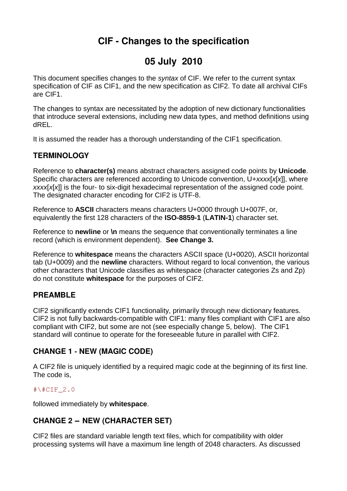# **CIF Changes to the specification**

# **05 July 2010**

This document specifies changes to the *syntax* of CIF. We refer to the current syntax specification of CIF as CIF1, and the new specification as CIF2. To date all archival CIFs are CIF1.

The changes to syntax are necessitated by the adoption of new dictionary functionalities that introduce several extensions, including new data types, and method definitions using dREL.

It is assumed the reader has a thorough understanding of the CIF1 specification.

## **TERMINOLOGY**

Reference to **character(s)** means abstract characters assigned code points by **Unicode**. Specific characters are referenced according to Unicode convention, U+*xxxx*[*x*[*x*]], where *xxxx*[*x*[*x*]] is the four- to six-digit hexadecimal representation of the assigned code point. The designated character encoding for CIF2 is UTF-8.

Reference to **ASCII** characters means characters U+0000 through U+007F, or, equivalently the first 128 characters of the **ISO-8859-1** (**LATIN-1**) character set.

Reference to **newline** or **\n** means the sequence that conventionally terminates a line record (which is environment dependent). **See Change 3.**

Reference to **whitespace** means the characters ASCII space (U+0020), ASCII horizontal tab (U+0009) and the **newline** characters. Without regard to local convention, the various other characters that Unicode classifies as whitespace (character categories Zs and Zp) do not constitute **whitespace** for the purposes of CIF2.

#### **PREAMBLE**

CIF2 significantly extends CIF1 functionality, primarily through new dictionary features. CIF2 is not fully backwards-compatible with CIF1: many files compliant with CIF1 are also compliant with CIF2, but some are not (see especially change 5, below). The CIF1 standard will continue to operate for the foreseeable future in parallel with CIF2.

### **CHANGE 1 NEW (MAGIC CODE) ‒**

A CIF2 file is uniquely identified by a required magic code at the beginning of its first line. The code is,

#### $\text{\#}\text{\textdegree}2.0$

followed immediately by **whitespace**.

## **CHANGE 2 ‒ NEW (CHARACTER SET)**

CIF2 files are standard variable length text files, which for compatibility with older processing systems will have a maximum line length of 2048 characters. As discussed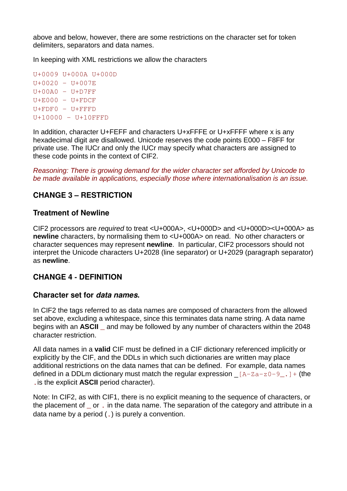above and below, however, there are some restrictions on the character set for token delimiters, separators and data names.

In keeping with XML restrictions we allow the characters

U+0009 U+000A U+000D U+0020 – U+007E  $U+00A0 - U+D7FF$  $U+E000 - U+FDCF$ U+FDF0 U+FFFD U+10000 U+10FFFD

In addition, character U+FEFF and characters U+xFFFE or U+xFFFF where x is any hexadecimal digit are disallowed. Unicode reserves the code points E000 – F8FF for private use. The IUCr and only the IUCr may specify what characters are assigned to these code points in the context of CIF2.

*Reasoning: There is growing demand for the wider character set afforded by Unicode to be made available in applications, especially those where internationalisation is an issue.*

## **CHANGE 3 – RESTRICTION**

#### **Treatment of Newline**

CIF2 processors are *required* to treat <U+000A>, <U+000D> and <U+000D><U+000A> as **newline** characters, by normalising them to <U+000A> on read. No other characters or character sequences may represent **newline**. In particular, CIF2 processors should not interpret the Unicode characters U+2028 (line separator) or U+2029 (paragraph separator) as **newline**.

### **CHANGE 4 DEFINITION ‒**

#### **Character set for** *data names***.**

In CIF2 the tags referred to as data names are composed of characters from the allowed set above, excluding a whitespace, since this terminates data name string. A data name begins with an **ASCII** \_ and may be followed by any number of characters within the 2048 character restriction.

All data names in a **valid** CIF must be defined in a CIF dictionary referenced implicitly or explicitly by the CIF, and the DDLs in which such dictionaries are written may place additional restrictions on the data names that can be defined. For example, data names defined in a DDLm dictionary must match the regular expression  $[A-Za-z0-9]$ .  $]+$  (the .is the explicit **ASCII** period character).

Note: In CIF2, as with CIF1, there is no explicit meaning to the sequence of characters, or the placement of or . in the data name. The separation of the category and attribute in a data name by a period (.) is purely a convention.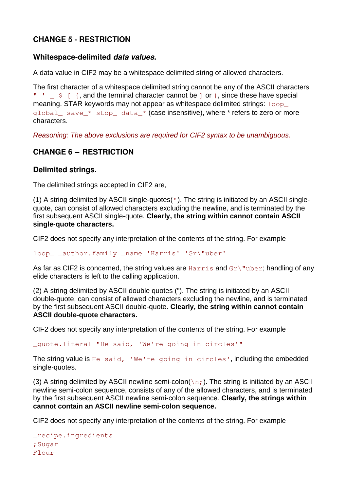## **CHANGE 5 RESTRICTION ‒**

#### **Whitespace-delimited** *data values***.**

A data value in CIF2 may be a whitespace delimited string of allowed characters.

The first character of a whitespace delimited string cannot be any of the ASCII characters "  $\frac{1}{2}$   $\frac{1}{2}$   $\frac{1}{2}$   $\frac{1}{2}$  and the terminal character cannot be  $\frac{1}{2}$  or  $\frac{1}{2}$ , since these have special meaning. STAR keywords may not appear as whitespace delimited strings:  $loop$ global\_ save\_\* stop\_ data\_\* (case insensitive), where \* refers to zero or more characters.

*Reasoning: The above exclusions are required for CIF2 syntax to be unambiguous.*

## **CHANGE 6 ‒ RESTRICTION**

#### **Delimited strings.**

The delimited strings accepted in CIF2 are,

(1) A string delimited by ASCII single-quotes('). The string is initiated by an ASCII singlequote, can consist of allowed characters excluding the newline, and is terminated by the first subsequent ASCII single-quote. **Clearly, the string within cannot contain ASCII single-quote characters.**

CIF2 does not specify any interpretation of the contents of the string. For example

loop \_\_ author.family \_name 'Harris' 'Gr\"uber'

As far as CIF2 is concerned, the string values are  $\text{Harris}$  and  $\text{Gr}\setminus\text{"uber}$ ; handling of any elide characters is left to the calling application.

(2) A string delimited by ASCII double quotes ("). The string is initiated by an ASCII double-quote, can consist of allowed characters excluding the newline, and is terminated by the first subsequent ASCII double-quote. **Clearly, the string within cannot contain ASCII double-quote characters.**

CIF2 does not specify any interpretation of the contents of the string. For example

\_quote.literal "He said, 'We're going in circles'"

The string value is He said, 'We're going in circles', including the embedded single-quotes.

(3) A string delimited by ASCII newline semi-colon( $\ln$ ;). The string is initiated by an ASCII newline semi-colon sequence, consists of any of the allowed characters, and is terminated by the first subsequent ASCII newline semi-colon sequence. **Clearly, the strings within cannot contain an ASCII newline semi-colon sequence.**

CIF2 does not specify any interpretation of the contents of the string. For example

```
_recipe.ingredients
;Sugar
Flour
```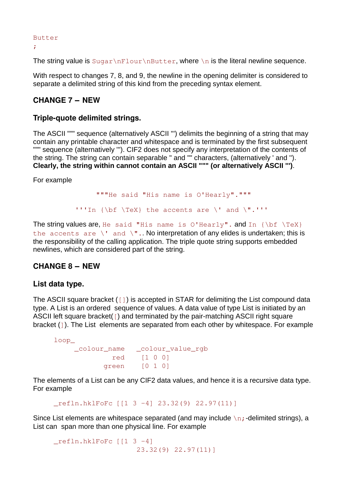Butter

;

The string value is  $\text{Sugar\nFlour\nButter}$ , where  $\ln$  is the literal newline sequence.

With respect to changes 7, 8, and 9, the newline in the opening delimiter is considered to separate a delimited string of this kind from the preceding syntax element.

#### **CHANGE 7 ‒ NEW**

#### **Triple-quote delimited strings.**

The ASCII """ sequence (alternatively ASCII ''') delimits the beginning of a string that may contain any printable character and whitespace and is terminated by the first subsequent """ sequence (alternatively "'). CIF2 does not specify any interpretation of the contents of the string. The string can contain separable " and "" characters, (alternatively ' and ''). **Clearly, the string within cannot contain an ASCII """ (or alternatively ASCII ''')**.

For example

"""He said "His name is O'Hearly".""" '''In {\bf \TeX} the accents are \' and \".'''

The string values are, He said "His name is O'Hearly". and In  $\{\bf bf \ \text{X}\}$ the accents are  $\vee$  and  $\vee$ ".. No interpretation of any elides is undertaken; this is the responsibility of the calling application. The triple quote string supports embedded newlines, which are considered part of the string.

#### **CHANGE 8 ‒ NEW**

#### **List data type.**

The ASCII square bracket ([]) is accepted in STAR for delimiting the List compound data type. A List is an ordered sequence of values. A data value of type List is initiated by an ASCII left square bracket([) and terminated by the pair-matching ASCII right square bracket  $(1)$ . The List elements are separated from each other by whitespace. For example

loop\_ \_colour\_name \_colour\_value\_rgb red [1 0 0] green [0 1 0]

The elements of a List can be any CIF2 data values, and hence it is a recursive data type. For example

\_refln.hklFoFc [[1 3 4] 23.32(9) 22.97(11)]

Since List elements are whitespace separated (and may include  $\ln$ ; -delimited strings), a List can span more than one physical line. For example

 $refln.hklFoFc$  [[1 3 -4] 23.32(9) 22.97(11)]